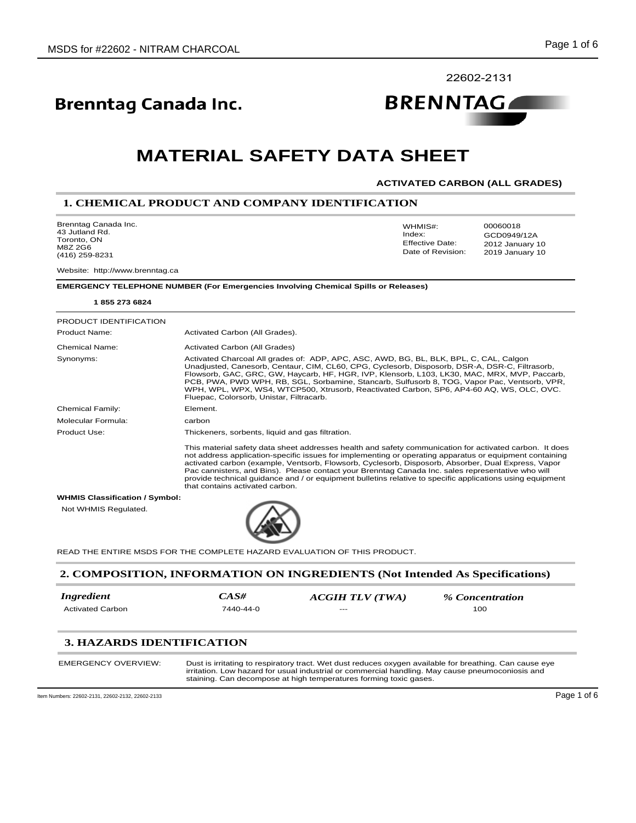22602-2131

**BRENNTAGAL** 

# **Brenntag Canada Inc.**

# **MATERIAL SAFETY DATA SHEET**

#### **ACTIVATED CARBON (ALL GRADES)**

2012 January 10

GCD0949/12A

WHMIS#: 00060018

Index:

Date of Revision: Effective Date:

### **1. CHEMICAL PRODUCT AND COMPANY IDENTIFICATION**

Brenntag Canada Inc. 43 Jutland Rd. Toronto, ON M8Z 2G6 (416) 259-8231

Website: http://www.brenntag.ca

**EMERGENCY TELEPHONE NUMBER (For Emergencies Involving Chemical Spills or Releases)**

| 18552736824                           |                                                                                                                                                                                                                                                                                                                                                                                                                                                                                                                                                                               |
|---------------------------------------|-------------------------------------------------------------------------------------------------------------------------------------------------------------------------------------------------------------------------------------------------------------------------------------------------------------------------------------------------------------------------------------------------------------------------------------------------------------------------------------------------------------------------------------------------------------------------------|
| PRODUCT IDENTIFICATION                |                                                                                                                                                                                                                                                                                                                                                                                                                                                                                                                                                                               |
| <b>Product Name:</b>                  | Activated Carbon (All Grades).                                                                                                                                                                                                                                                                                                                                                                                                                                                                                                                                                |
| <b>Chemical Name:</b>                 | Activated Carbon (All Grades)                                                                                                                                                                                                                                                                                                                                                                                                                                                                                                                                                 |
| Synonyms:                             | Activated Charcoal All grades of: ADP, APC, ASC, AWD, BG, BL, BLK, BPL, C, CAL, Calgon<br>Unadjusted, Canesorb, Centaur, CIM, CL60, CPG, Cyclesorb, Disposorb, DSR-A, DSR-C, Filtrasorb,<br>Flowsorb, GAC, GRC, GW, Haycarb, HF, HGR, IVP, Klensorb, L103, LK30, MAC, MRX, MVP, Paccarb,<br>PCB, PWA, PWD WPH, RB, SGL, Sorbamine, Stancarb, Sulfusorb 8, TOG, Vapor Pac, Ventsorb, VPR,<br>WPH, WPL, WPX, WS4, WTCP500, Xtrusorb, Reactivated Carbon, SP6, AP4-60 AQ, WS, OLC, OVC.<br>Fluepac, Colorsorb, Unistar, Filtracarb.                                              |
| Chemical Family:                      | Element.                                                                                                                                                                                                                                                                                                                                                                                                                                                                                                                                                                      |
| Molecular Formula:                    | carbon                                                                                                                                                                                                                                                                                                                                                                                                                                                                                                                                                                        |
| Product Use:                          | Thickeners, sorbents, liquid and gas filtration.                                                                                                                                                                                                                                                                                                                                                                                                                                                                                                                              |
|                                       | This material safety data sheet addresses health and safety communication for activated carbon. It does<br>not address application-specific issues for implementing or operating apparatus or equipment containing<br>activated carbon (example, Ventsorb, Flowsorb, Cyclesorb, Disposorb, Absorber, Dual Express, Vapor<br>Pac cannisters, and Bins). Please contact your Brenntag Canada Inc. sales representative who will<br>provide technical guidance and / or equipment bulletins relative to specific applications using equipment<br>that contains activated carbon. |
| <b>WHMIS Classification / Symbol:</b> |                                                                                                                                                                                                                                                                                                                                                                                                                                                                                                                                                                               |
| Not WHMIS Regulated.                  |                                                                                                                                                                                                                                                                                                                                                                                                                                                                                                                                                                               |

READ THE ENTIRE MSDS FOR THE COMPLETE HAZARD EVALUATION OF THIS PRODUCT.

#### **2. COMPOSITION, INFORMATION ON INGREDIENTS (Not Intended As Specifications)**

| <i>Ingredient</i> | $CAS\#$   | ACGIH TLV (TWA) | % Concentration |
|-------------------|-----------|-----------------|-----------------|
| Activated Carbon  | 7440-44-0 | $---$           | 100             |

# **3. HAZARDS IDENTIFICATION**

| EMERGENCY OVERVIEW:<br>Dust is irritating to respiratory tract. Wet dust reduces oxygen available for breathing. Can cause eye<br>irritation. Low hazard for usual industrial or commercial handling. May cause pneumoconiosis and<br>staining. Can decompose at high temperatures forming toxic gases. |  |
|---------------------------------------------------------------------------------------------------------------------------------------------------------------------------------------------------------------------------------------------------------------------------------------------------------|--|
|---------------------------------------------------------------------------------------------------------------------------------------------------------------------------------------------------------------------------------------------------------------------------------------------------------|--|

Item Numbers: 22602-2131, 22602-2132, 22602-2133 Page 1 of 6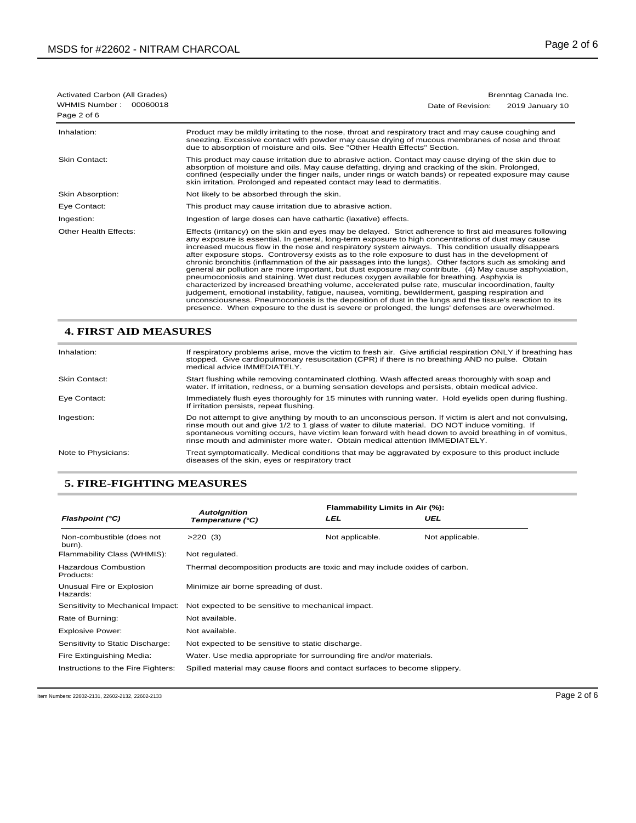| Activated Carbon (All Grades)            | Brenntag Canada Inc.                                                                                                                                                                                                                                                                                                                                                                                                                                                                                                                                                                                                                                                                                                                                                                                                                                                                                                                                                                                                                                                                                                                                                         |  |
|------------------------------------------|------------------------------------------------------------------------------------------------------------------------------------------------------------------------------------------------------------------------------------------------------------------------------------------------------------------------------------------------------------------------------------------------------------------------------------------------------------------------------------------------------------------------------------------------------------------------------------------------------------------------------------------------------------------------------------------------------------------------------------------------------------------------------------------------------------------------------------------------------------------------------------------------------------------------------------------------------------------------------------------------------------------------------------------------------------------------------------------------------------------------------------------------------------------------------|--|
| WHMIS Number:<br>00060018<br>Page 2 of 6 | 2019 January 10<br>Date of Revision:                                                                                                                                                                                                                                                                                                                                                                                                                                                                                                                                                                                                                                                                                                                                                                                                                                                                                                                                                                                                                                                                                                                                         |  |
| Inhalation:                              | Product may be mildly irritating to the nose, throat and respiratory tract and may cause coughing and<br>sneezing. Excessive contact with powder may cause drying of mucous membranes of nose and throat<br>due to absorption of moisture and oils. See "Other Health Effects" Section.                                                                                                                                                                                                                                                                                                                                                                                                                                                                                                                                                                                                                                                                                                                                                                                                                                                                                      |  |
| <b>Skin Contact:</b>                     | This product may cause irritation due to abrasive action. Contact may cause drying of the skin due to<br>absorption of moisture and oils. May cause defatting, drying and cracking of the skin. Prolonged,<br>confined (especially under the finger nails, under rings or watch bands) or repeated exposure may cause<br>skin irritation. Prolonged and repeated contact may lead to dermatitis.                                                                                                                                                                                                                                                                                                                                                                                                                                                                                                                                                                                                                                                                                                                                                                             |  |
| Skin Absorption:                         | Not likely to be absorbed through the skin.                                                                                                                                                                                                                                                                                                                                                                                                                                                                                                                                                                                                                                                                                                                                                                                                                                                                                                                                                                                                                                                                                                                                  |  |
| Eye Contact:                             | This product may cause irritation due to abrasive action.                                                                                                                                                                                                                                                                                                                                                                                                                                                                                                                                                                                                                                                                                                                                                                                                                                                                                                                                                                                                                                                                                                                    |  |
| Ingestion:                               | Ingestion of large doses can have cathartic (laxative) effects.                                                                                                                                                                                                                                                                                                                                                                                                                                                                                                                                                                                                                                                                                                                                                                                                                                                                                                                                                                                                                                                                                                              |  |
| Other Health Effects:                    | Effects (irritancy) on the skin and eyes may be delayed. Strict adherence to first aid measures following<br>any exposure is essential. In general, long-term exposure to high concentrations of dust may cause<br>increased mucous flow in the nose and respiratory system airways. This condition usually disappears<br>after exposure stops. Controversy exists as to the role exposure to dust has in the development of<br>chronic bronchitis (inflammation of the air passages into the lungs). Other factors such as smoking and<br>general air pollution are more important, but dust exposure may contribute. (4) May cause asphyxiation,<br>pneumoconiosis and staining. Wet dust reduces oxygen available for breathing. Asphyxia is<br>characterized by increased breathing volume, accelerated pulse rate, muscular incoordination, faulty<br>judgement, emotional instability, fatigue, nausea, vomiting, bewilderment, gasping respiration and<br>unconsciousness. Pneumoconiosis is the deposition of dust in the lungs and the tissue's reaction to its<br>presence. When exposure to the dust is severe or prolonged, the lungs' defenses are overwhelmed. |  |

# **4. FIRST AID MEASURES**

| Inhalation:         | If respiratory problems arise, move the victim to fresh air. Give artificial respiration ONLY if breathing has<br>stopped. Give cardiopulmonary resuscitation (CPR) if there is no breathing AND no pulse. Obtain<br>medical advice IMMEDIATELY.                                                                                                                                                       |
|---------------------|--------------------------------------------------------------------------------------------------------------------------------------------------------------------------------------------------------------------------------------------------------------------------------------------------------------------------------------------------------------------------------------------------------|
| Skin Contact:       | Start flushing while removing contaminated clothing. Wash affected areas thoroughly with soap and<br>water. If irritation, redness, or a burning sensation develops and persists, obtain medical advice.                                                                                                                                                                                               |
| Eye Contact:        | Immediately flush eyes thoroughly for 15 minutes with running water. Hold eyelids open during flushing.<br>If irritation persists, repeat flushing.                                                                                                                                                                                                                                                    |
| Ingestion:          | Do not attempt to give anything by mouth to an unconscious person. If victim is alert and not convulsing,<br>rinse mouth out and give 1/2 to 1 glass of water to dilute material. DO NOT induce vomiting. If<br>spontaneous vomiting occurs, have victim lean forward with head down to avoid breathing in of vomitus,<br>rinse mouth and administer more water. Obtain medical attention IMMEDIATELY. |
| Note to Physicians: | Treat symptomatically. Medical conditions that may be aggravated by exposure to this product include<br>diseases of the skin, eyes or respiratory tract                                                                                                                                                                                                                                                |

# **5. FIRE-FIGHTING MEASURES**

|                                          | <b>Autolgnition</b>                                                        | Flammability Limits in Air (%): |                 |
|------------------------------------------|----------------------------------------------------------------------------|---------------------------------|-----------------|
| Flashpoint (°C)                          | Temperature (°C)                                                           | LEL                             | UEL             |
| Non-combustible (does not<br>burn).      | $>220$ (3)                                                                 | Not applicable.                 | Not applicable. |
| Flammability Class (WHMIS):              | Not regulated.                                                             |                                 |                 |
| <b>Hazardous Combustion</b><br>Products: | Thermal decomposition products are toxic and may include oxides of carbon. |                                 |                 |
| Unusual Fire or Explosion<br>Hazards:    | Minimize air borne spreading of dust.                                      |                                 |                 |
| Sensitivity to Mechanical Impact:        | Not expected to be sensitive to mechanical impact.                         |                                 |                 |
| Rate of Burning:                         | Not available.                                                             |                                 |                 |
| <b>Explosive Power:</b>                  | Not available.                                                             |                                 |                 |
| Sensitivity to Static Discharge:         | Not expected to be sensitive to static discharge.                          |                                 |                 |
| Fire Extinguishing Media:                | Water. Use media appropriate for surrounding fire and/or materials.        |                                 |                 |
| Instructions to the Fire Fighters:       | Spilled material may cause floors and contact surfaces to become slippery. |                                 |                 |
|                                          |                                                                            |                                 |                 |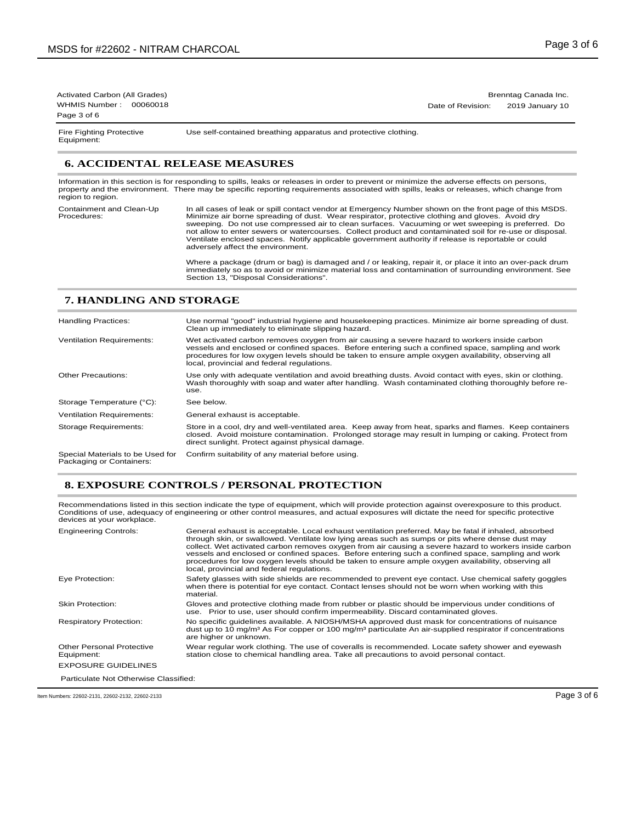Activated Carbon (All Grades) Brenntag Canada Inc. WHMIS Number : 00060018 **Date of Revision:** 2019 January 10 Page 3 of 6

Equipment:

Fire Fighting Protective Use self-contained breathing apparatus and protective clothing.

# **6. ACCIDENTAL RELEASE MEASURES**

Information in this section is for responding to spills, leaks or releases in order to prevent or minimize the adverse effects on persons, property and the environment. There may be specific reporting requirements associated with spills, leaks or releases, which change from region to region.

In all cases of leak or spill contact vendor at Emergency Number shown on the front page of this MSDS. Minimize air borne spreading of dust. Wear respirator, protective clothing and gloves. Avoid dry sweeping. Do not use compressed air to clean surfaces. Vacuuming or wet sweeping is preferred. Do<br>not allow to enter sewers or watercourses. Collect product and contaminated soil for re-use or disposal.<br>Ventilate enclosed adversely affect the environment. Containment and Clean-Up Procedures:

> Where a package (drum or bag) is damaged and / or leaking, repair it, or place it into an over-pack drum immediately so as to avoid or minimize material loss and contamination of surrounding environment. See Section 13, "Disposal Considerations".

## **7. HANDLING AND STORAGE**

| <b>Handling Practices:</b>                                   | Use normal "good" industrial hygiene and housekeeping practices. Minimize air borne spreading of dust.<br>Clean up immediately to eliminate slipping hazard.                                                                                                                                                                                            |
|--------------------------------------------------------------|---------------------------------------------------------------------------------------------------------------------------------------------------------------------------------------------------------------------------------------------------------------------------------------------------------------------------------------------------------|
| <b>Ventilation Requirements:</b>                             | Wet activated carbon removes oxygen from air causing a severe hazard to workers inside carbon<br>vessels and enclosed or confined spaces. Before entering such a confined space, sampling and work<br>procedures for low oxygen levels should be taken to ensure ample oxygen availability, observing all<br>local, provincial and federal regulations. |
| <b>Other Precautions:</b>                                    | Use only with adequate ventilation and avoid breathing dusts. Avoid contact with eyes, skin or clothing.<br>Wash thoroughly with soap and water after handling. Wash contaminated clothing thoroughly before re-<br>use.                                                                                                                                |
| Storage Temperature (°C):                                    | See below.                                                                                                                                                                                                                                                                                                                                              |
| <b>Ventilation Requirements:</b>                             | General exhaust is acceptable.                                                                                                                                                                                                                                                                                                                          |
| Storage Requirements:                                        | Store in a cool, dry and well-ventilated area. Keep away from heat, sparks and flames. Keep containers<br>closed. Avoid moisture contamination. Prolonged storage may result in lumping or caking. Protect from<br>direct sunlight. Protect against physical damage.                                                                                    |
| Special Materials to be Used for<br>Packaging or Containers: | Confirm suitability of any material before using.                                                                                                                                                                                                                                                                                                       |

#### **8. EXPOSURE CONTROLS / PERSONAL PROTECTION**

Recommendations listed in this section indicate the type of equipment, which will provide protection against overexposure to this product. Conditions of use, adequacy of engineering or other control measures, and actual exposures will dictate the need for specific protective devices at your workplace.

| <b>Engineering Controls:</b>            | General exhaust is acceptable. Local exhaust ventilation preferred. May be fatal if inhaled, absorbed<br>through skin, or swallowed. Ventilate low lying areas such as sumps or pits where dense dust may<br>collect. Wet activated carbon removes oxygen from air causing a severe hazard to workers inside carbon<br>vessels and enclosed or confined spaces. Before entering such a confined space, sampling and work<br>procedures for low oxygen levels should be taken to ensure ample oxygen availability, observing all<br>local, provincial and federal regulations. |
|-----------------------------------------|-------------------------------------------------------------------------------------------------------------------------------------------------------------------------------------------------------------------------------------------------------------------------------------------------------------------------------------------------------------------------------------------------------------------------------------------------------------------------------------------------------------------------------------------------------------------------------|
| Eye Protection:                         | Safety glasses with side shields are recommended to prevent eye contact. Use chemical safety goggles<br>when there is potential for eye contact. Contact lenses should not be worn when working with this<br>material.                                                                                                                                                                                                                                                                                                                                                        |
| <b>Skin Protection:</b>                 | Gloves and protective clothing made from rubber or plastic should be impervious under conditions of<br>use. Prior to use, user should confirm impermeability. Discard contaminated gloves.                                                                                                                                                                                                                                                                                                                                                                                    |
| <b>Respiratory Protection:</b>          | No specific guidelines available. A NIOSH/MSHA approved dust mask for concentrations of nuisance<br>dust up to 10 mg/m <sup>3</sup> As For copper or 100 mg/m <sup>3</sup> particulate An air-supplied respirator if concentrations<br>are higher or unknown.                                                                                                                                                                                                                                                                                                                 |
| Other Personal Protective<br>Equipment: | Wear regular work clothing. The use of coveralls is recommended. Locate safety shower and eyewash<br>station close to chemical handling area. Take all precautions to avoid personal contact.                                                                                                                                                                                                                                                                                                                                                                                 |
| <b>EXPOSURE GUIDELINES</b>              |                                                                                                                                                                                                                                                                                                                                                                                                                                                                                                                                                                               |
| Particulate Not Otherwise Classified:   |                                                                                                                                                                                                                                                                                                                                                                                                                                                                                                                                                                               |

Item Numbers: 22602-2131, 22602-2132, 22602-2133 Page 3 of 6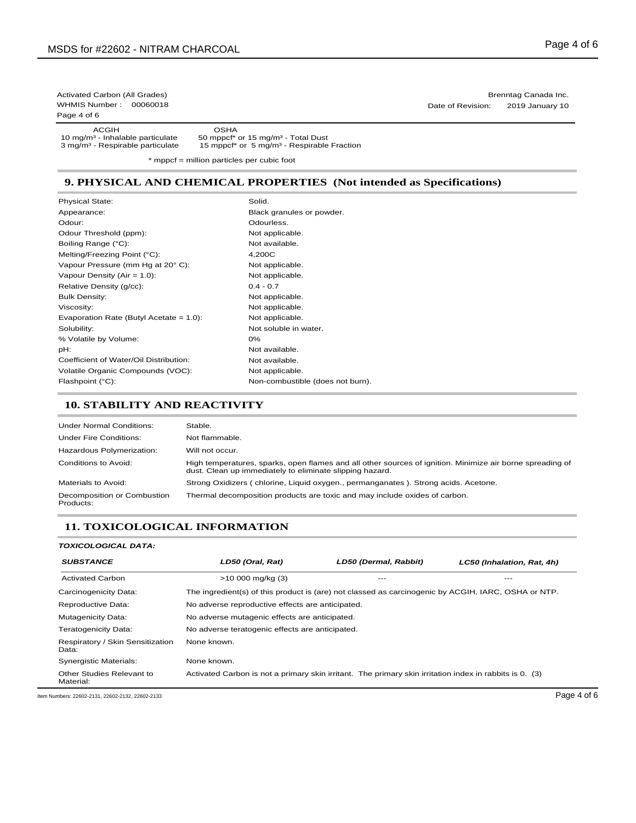Page 4 of 6

ACGIH OSHA<br>10 mg/m<sup>3</sup> - Inhalable particulate 50 mppcf<sup>\*</sup><br>3 mg/m<sup>3</sup> - Respirable particulate 15 mppcf<sup>\*</sup>

10 mg/m<sup>3</sup> - Inhalable particulate 50 mppcf\* or 15 mg/m<sup>3</sup> - Total Dust<br>3 mg/m<sup>3</sup> - Respirable particulate 15 mppcf\* or 5 mg/m<sup>3</sup> - Respirable Fraction

\* mppcf = million particles per cubic foot

### **9. PHYSICAL AND CHEMICAL PROPERTIES (Not intended as Specifications)**

Physical State: Appearance: Odour: Odour Threshold (ppm): Boiling Range (°C): Melting/Freezing Point (°C): Vapour Pressure (mm Hg at 20° C): Vapour Density (Air = 1.0): Relative Density (g/cc): Bulk Density: Viscosity: Evaporation Rate (Butyl Acetate = 1.0): Solubility: % Volatile by Volume: pH: Coefficient of Water/Oil Distribution: Volatile Organic Compounds (VOC): Flashpoint (°C):  $\blacksquare$  Non-combustible (does not burn).

Solid. Black granules or powder. Odourless. Not applicable. Not available. 4,200C Not applicable. Not applicable.  $0.4 - 0.7$ Not applicable. Not applicable. Not applicable. Not soluble in water. 0% Not available. Not available. Not applicable.

#### **10. STABILITY AND REACTIVITY**

| <b>Under Normal Conditions:</b>          | Stable.                                                                                                                                                               |
|------------------------------------------|-----------------------------------------------------------------------------------------------------------------------------------------------------------------------|
| <b>Under Fire Conditions:</b>            | Not flammable.                                                                                                                                                        |
| Hazardous Polymerization:                | Will not occur.                                                                                                                                                       |
| Conditions to Avoid:                     | High temperatures, sparks, open flames and all other sources of ignition. Minimize air borne spreading of<br>dust. Clean up immediately to eliminate slipping hazard. |
| Materials to Avoid:                      | Strong Oxidizers (chlorine, Liquid oxygen., permanganates). Strong acids. Acetone.                                                                                    |
| Decomposition or Combustion<br>Products: | Thermal decomposition products are toxic and may include oxides of carbon.                                                                                            |

#### **11. TOXICOLOGICAL INFORMATION**

#### *TOXICOLOGICAL DATA:*

| <b>SUBSTANCE</b>                                 | LD50 (Oral, Rat)                                 | LD50 (Dermal, Rabbit)                                                                                   | LC50 (Inhalation, Rat, 4h) |  |
|--------------------------------------------------|--------------------------------------------------|---------------------------------------------------------------------------------------------------------|----------------------------|--|
| <b>Activated Carbon</b>                          | $>10000$ mg/kg (3)                               |                                                                                                         | ---                        |  |
| Carcinogenicity Data:                            |                                                  | The ingredient(s) of this product is (are) not classed as carcinogenic by ACGIH, IARC, OSHA or NTP.     |                            |  |
| Reproductive Data:                               | No adverse reproductive effects are anticipated. |                                                                                                         |                            |  |
| <b>Mutagenicity Data:</b>                        |                                                  | No adverse mutagenic effects are anticipated.                                                           |                            |  |
| <b>Teratogenicity Data:</b>                      | No adverse teratogenic effects are anticipated.  |                                                                                                         |                            |  |
| Respiratory / Skin Sensitization<br>Data:        | None known.                                      |                                                                                                         |                            |  |
| <b>Synergistic Materials:</b>                    | None known.                                      |                                                                                                         |                            |  |
| Other Studies Relevant to<br>Material:           |                                                  | Activated Carbon is not a primary skin irritant. The primary skin irritation index in rabbits is 0. (3) |                            |  |
| Item Numbers: 22602-2131, 22602-2132, 22602-2133 |                                                  |                                                                                                         | Page 4 of 6                |  |

Activated Carbon (All Grades) Brenntag Canada Inc. WHMIS Number : 00060018 **Date of Revision:** 2019 January 10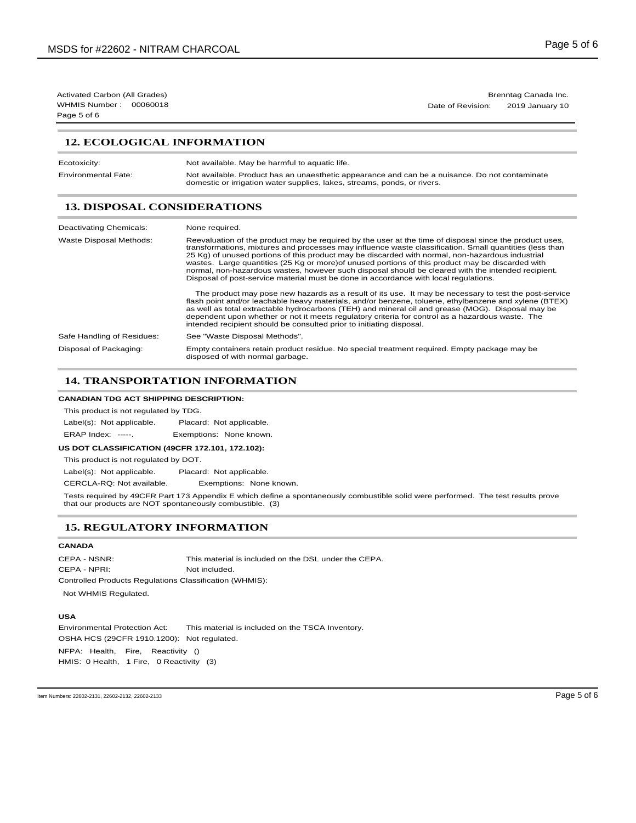WHMIS Number : 00060018 **Date of Revision:** 2019 January 10 Page 5 of 6

Activated Carbon (All Grades) Brenntag Canada Inc.

# **12. ECOLOGICAL INFORMATION**

| Ecotoxicity:               | Not available. May be harmful to aquatic life.                                                                                                                             |
|----------------------------|----------------------------------------------------------------------------------------------------------------------------------------------------------------------------|
| <b>Environmental Fate:</b> | Not available. Product has an unaesthetic appearance and can be a nuisance. Do not contaminate<br>domestic or irrigation water supplies, lakes, streams, ponds, or rivers. |

# **13. DISPOSAL CONSIDERATIONS**

| Deactivating Chemicals:    | None required.                                                                                                                                                                                                                                                                                                                                                                                                                                                                                                                                                                                                            |
|----------------------------|---------------------------------------------------------------------------------------------------------------------------------------------------------------------------------------------------------------------------------------------------------------------------------------------------------------------------------------------------------------------------------------------------------------------------------------------------------------------------------------------------------------------------------------------------------------------------------------------------------------------------|
| Waste Disposal Methods:    | Reevaluation of the product may be required by the user at the time of disposal since the product uses,<br>transformations, mixtures and processes may influence waste classification. Small quantities (less than<br>25 Kg) of unused portions of this product may be discarded with normal, non-hazardous industrial<br>wastes. Large quantities (25 Kg or more) of unused portions of this product may be discarded with<br>normal, non-hazardous wastes, however such disposal should be cleared with the intended recipient.<br>Disposal of post-service material must be done in accordance with local regulations. |
|                            | The product may pose new hazards as a result of its use. It may be necessary to test the post-service<br>flash point and/or leachable heavy materials, and/or benzene, toluene, ethylbenzene and xylene (BTEX)<br>as well as total extractable hydrocarbons (TEH) and mineral oil and grease (MOG). Disposal may be<br>dependent upon whether or not it meets regulatory criteria for control as a hazardous waste. The<br>intended recipient should be consulted prior to initiating disposal.                                                                                                                           |
| Safe Handling of Residues: | See "Waste Disposal Methods".                                                                                                                                                                                                                                                                                                                                                                                                                                                                                                                                                                                             |
| Disposal of Packaging:     | Empty containers retain product residue. No special treatment required. Empty package may be<br>disposed of with normal garbage.                                                                                                                                                                                                                                                                                                                                                                                                                                                                                          |

#### **14. TRANSPORTATION INFORMATION**

#### **CANADIAN TDG ACT SHIPPING DESCRIPTION:**

This product is not regulated by TDG.

Label(s): Not applicable. Placard: Not applicable. ERAP Index: -----. Exemptions: None known.

#### **US DOT CLASSIFICATION (49CFR 172.101, 172.102):**

This product is not regulated by DOT.

Label(s): Not applicable. Placard: Not applicable.

CERCLA-RQ: Not available. Exemptions: None known.

Tests required by 49CFR Part 173 Appendix E which define a spontaneously combustible solid were performed. The test results prove that our products are NOT spontaneously combustible. (3)

#### **15. REGULATORY INFORMATION**

#### **CANADA**

CEPA - NSNR: This material is included on the DSL under the CEPA. CEPA - NPRI: Not included. Controlled Products Regulations Classification (WHMIS):

Not WHMIS Regulated.

#### **USA**

Environmental Protection Act: This material is included on the TSCA Inventory. OSHA HCS (29CFR 1910.1200): Not regulated.

NFPA: Health, Fire, Reactivity () HMIS: 0 Health, 1 Fire, 0 Reactivity (3)

Item Numbers: 22602-2131, 22602-2132, 22602-2133 Page 5 of 6